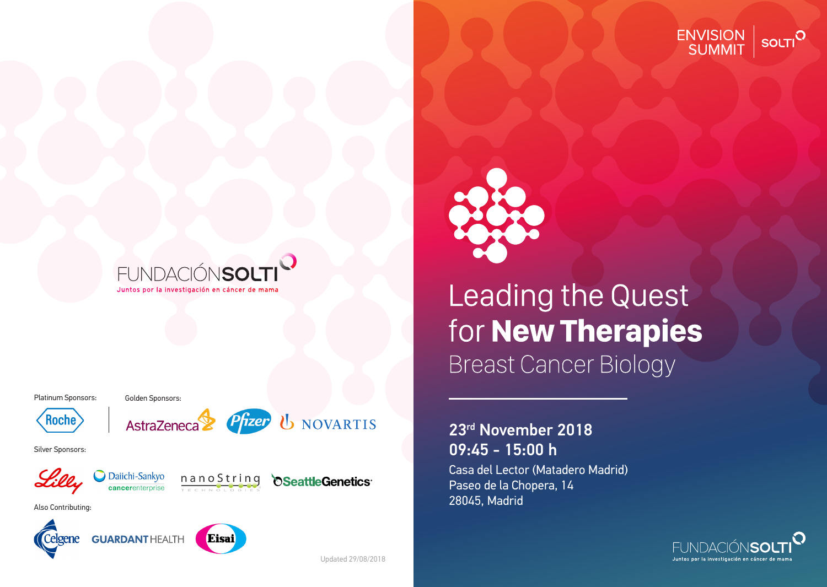



Platinum Sponsors: Golden Sponsors:







AstraZeneca Pfizer & NOVARTIS

Silver Sponsors:



Also Contributing:



**GUARDANT HEALTH** 

**SeattleGenetics** 

23rd November 2018 09:45 - 15:00 h Casa del Lector (Matadero Madrid)

Paseo de la Chopera, 14 28045, Madrid





Updated 29/08/2018



**Leading the Quest** for **New Therapies Breast Cancer Biology**